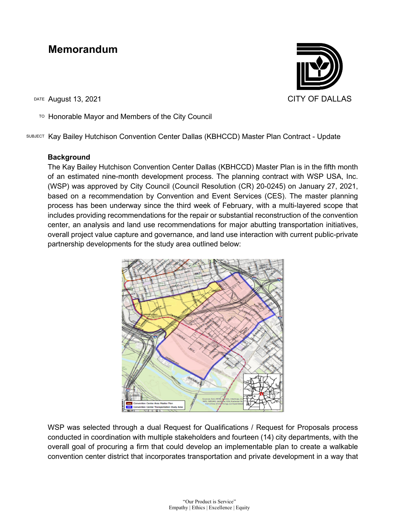# **Memorandum**

DATE August 13, 2021 CITY OF DALLAS

TO Honorable Mayor and Members of the City Council

SUBJECT Kay Bailey Hutchison Convention Center Dallas (KBHCCD) Master Plan Contract - Update

# **Background**

The Kay Bailey Hutchison Convention Center Dallas (KBHCCD) Master Plan is in the fifth month of an estimated nine-month development process. The planning contract with WSP USA, Inc. (WSP) was approved by City Council (Council Resolution (CR) 20-0245) on January 27, 2021, based on a recommendation by Convention and Event Services (CES). The master planning process has been underway since the third week of February, with a multi-layered scope that includes providing recommendations for the repair or substantial reconstruction of the convention center, an analysis and land use recommendations for major abutting transportation initiatives, overall project value capture and governance, and land use interaction with current public-private partnership developments for the study area outlined below:



WSP was selected through a dual Request for Qualifications / Request for Proposals process conducted in coordination with multiple stakeholders and fourteen (14) city departments, with the overall goal of procuring a firm that could develop an implementable plan to create a walkable convention center district that incorporates transportation and private development in a way that

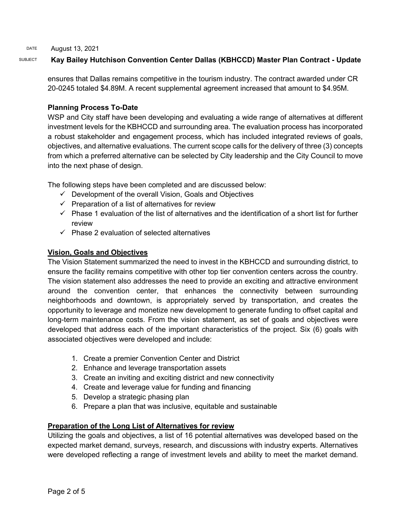# SUBJECT **Kay Bailey Hutchison Convention Center Dallas (KBHCCD) Master Plan Contract - Update**

ensures that Dallas remains competitive in the tourism industry. The contract awarded under CR 20-0245 totaled \$4.89M. A recent supplemental agreement increased that amount to \$4.95M.

# **Planning Process To-Date**

WSP and City staff have been developing and evaluating a wide range of alternatives at different investment levels for the KBHCCD and surrounding area. The evaluation process has incorporated a robust stakeholder and engagement process, which has included integrated reviews of goals, objectives, and alternative evaluations. The current scope calls for the delivery of three (3) concepts from which a preferred alternative can be selected by City leadership and the City Council to move into the next phase of design.

The following steps have been completed and are discussed below:

- $\checkmark$  Development of the overall Vision, Goals and Objectives
- $\checkmark$  Preparation of a list of alternatives for review
- $\checkmark$  Phase 1 evaluation of the list of alternatives and the identification of a short list for further review
- $\checkmark$  Phase 2 evaluation of selected alternatives

# **Vision, Goals and Objectives**

The Vision Statement summarized the need to invest in the KBHCCD and surrounding district, to ensure the facility remains competitive with other top tier convention centers across the country. The vision statement also addresses the need to provide an exciting and attractive environment around the convention center, that enhances the connectivity between surrounding neighborhoods and downtown, is appropriately served by transportation, and creates the opportunity to leverage and monetize new development to generate funding to offset capital and long-term maintenance costs. From the vision statement, as set of goals and objectives were developed that address each of the important characteristics of the project. Six (6) goals with associated objectives were developed and include:

- 1. Create a premier Convention Center and District
- 2. Enhance and leverage transportation assets
- 3. Create an inviting and exciting district and new connectivity
- 4. Create and leverage value for funding and financing
- 5. Develop a strategic phasing plan
- 6. Prepare a plan that was inclusive, equitable and sustainable

# **Preparation of the Long List of Alternatives for review**

Utilizing the goals and objectives, a list of 16 potential alternatives was developed based on the expected market demand, surveys, research, and discussions with industry experts. Alternatives were developed reflecting a range of investment levels and ability to meet the market demand.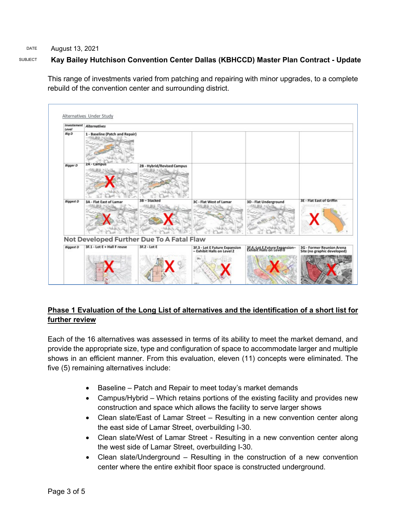# SUBJECT **Kay Bailey Hutchison Convention Center Dallas (KBHCCD) Master Plan Contract - Update**

This range of investments varied from patching and repairing with minor upgrades, to a complete rebuild of the convention center and surrounding district.



# **Phase 1 Evaluation of the Long List of alternatives and the identification of a short list for further review**

Each of the 16 alternatives was assessed in terms of its ability to meet the market demand, and provide the appropriate size, type and configuration of space to accommodate larger and multiple shows in an efficient manner. From this evaluation, eleven (11) concepts were eliminated. The five (5) remaining alternatives include:

- Baseline Patch and Repair to meet today's market demands
- Campus/Hybrid Which retains portions of the existing facility and provides new construction and space which allows the facility to serve larger shows
- Clean slate/East of Lamar Street Resulting in a new convention center along the east side of Lamar Street, overbuilding I-30.
- Clean slate/West of Lamar Street Resulting in a new convention center along the west side of Lamar Street, overbuilding I-30.
- Clean slate/Underground Resulting in the construction of a new convention center where the entire exhibit floor space is constructed underground.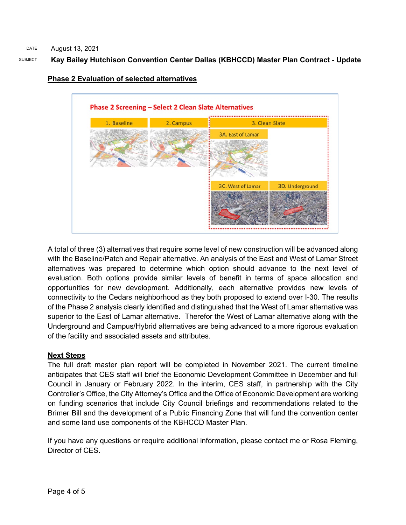# SUBJECT **Kay Bailey Hutchison Convention Center Dallas (KBHCCD) Master Plan Contract - Update**



### **Phase 2 Evaluation of selected alternatives**

A total of three (3) alternatives that require some level of new construction will be advanced along with the Baseline/Patch and Repair alternative. An analysis of the East and West of Lamar Street alternatives was prepared to determine which option should advance to the next level of evaluation. Both options provide similar levels of benefit in terms of space allocation and opportunities for new development. Additionally, each alternative provides new levels of connectivity to the Cedars neighborhood as they both proposed to extend over I-30. The results of the Phase 2 analysis clearly identified and distinguished that the West of Lamar alternative was superior to the East of Lamar alternative. Therefor the West of Lamar alternative along with the Underground and Campus/Hybrid alternatives are being advanced to a more rigorous evaluation of the facility and associated assets and attributes.

# **Next Steps**

The full draft master plan report will be completed in November 2021. The current timeline anticipates that CES staff will brief the Economic Development Committee in December and full Council in January or February 2022. In the interim, CES staff, in partnership with the City Controller's Office, the City Attorney's Office and the Office of Economic Development are working on funding scenarios that include City Council briefings and recommendations related to the Brimer Bill and the development of a Public Financing Zone that will fund the convention center and some land use components of the KBHCCD Master Plan.

If you have any questions or require additional information, please contact me or Rosa Fleming, Director of CES.